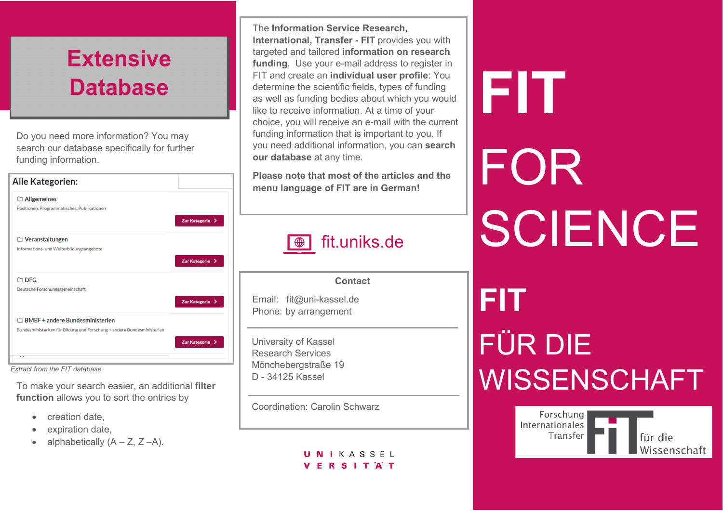## **Extensive Database**

Do you need more information? You may search our database specifically for further funding information.

| <b>Alle Kategorien:</b>                                                |                 |
|------------------------------------------------------------------------|-----------------|
| $\Box$ Allgemeines                                                     |                 |
| Positionen, Programmatisches, Publikationen                            |                 |
|                                                                        | Zur Kategorie > |
| $\Box$ Veranstaltungen                                                 |                 |
| Informations- und Weiterbildungsangebote                               |                 |
|                                                                        | Zur Kategorie > |
| $\Box$ DFG                                                             |                 |
| Deutsche Forschungsgemeinschaft                                        |                 |
|                                                                        | Zur Kategorie > |
| $\Box$ BMBF + andere Bundesministerien                                 |                 |
| Bundesministerium für Bildung und Forschung + andere Bundesministerien |                 |
|                                                                        | Zur Kategorie > |
|                                                                        |                 |

*Extract from the FIT database*

To make your search easier, an additional **filter function** allows you to sort the entries by

- creation date,
- expiration date,
- alphabetically  $(A Z, Z A)$ .

The **Information Service Research, International, Transfer - FIT** provides you with targeted and tailored **information on research funding**. Use your e-mail address to register in FIT and create an **individual user profile**: You determine the scientific fields, types of funding as well as funding bodies about which you would like to receive information. At a time of your choice, you will receive an e-mail with the current funding information that is important to you. If you need additional information, you can **search our database** at any time.

**Please note that most of the articles and the menu language of FIT are in German!**

| fit.uniks.de                                                            |  |
|-------------------------------------------------------------------------|--|
| <b>Contact</b>                                                          |  |
| Email: fit@uni-kassel.de<br>Phone: by arrangement                       |  |
| University of Kassel<br><b>Research Services</b><br>Mönchebergstraße 19 |  |

Coordination: Carolin Schwarz

D - 34125 Kassel

UNIKASSEL **VERSITAT** 

# **FIT** FOR SCIENCE **FIT** FÜR DIE **WISSENSCHAFT**